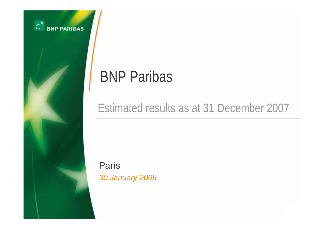

# BNP Paribas

# Estimated results as at 31 December 2007

Paris *30 January 2008*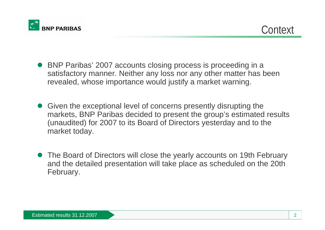

- O BNP Paribas' 2007 accounts closing process is proceeding in a satisfactory manner. Neither any loss nor any other matter has been revealed, whose importance would justify a market warning.
- O Given the exceptional level of concerns presently disrupting the markets, BNP Paribas decided to present the group's estimated results (unaudited) for 2007 to its Board of Directors yesterday and to the market today.
- $\bullet$  The Board of Directors will close the yearly accounts on 19th February and the detailed presentation will take place as scheduled on the 20th February.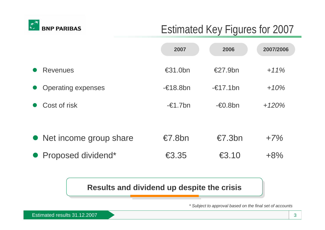

# Estimated Key Figures for 2007

|                           | 2007                                        | 2006              | 2007/2006 |
|---------------------------|---------------------------------------------|-------------------|-----------|
| <b>Revenues</b>           | $\epsilon$ 31.0bn                           | $\epsilon$ 27.9bn | $+11\%$   |
| <b>Operating expenses</b> | $-\epsilon$ 18.8bn                          | $-\in$ 17.1bn     | $+10%$    |
| Cost of risk              | $-\epsilon$ 1.7bn                           | $-60.8$ bn        | $+120%$   |
|                           |                                             |                   |           |
| • Net income group share  | $\epsilon$ 7.8bn                            | $\epsilon$ 7.3bn  | $+7%$     |
| • Proposed dividend*      | $\textcolor{red}{\textbf{\textsterling}}35$ | €3.10             | $+8%$     |

### **Results and dividend up despite the crisis**

*\* Subject to approval based on the final set of accounts*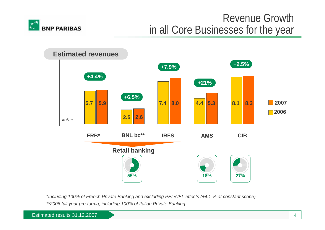

# Revenue Growth in all Core Businesses for the year



*\*Including 100% of French Private Banking and excluding PEL/CEL effects (+4.1 % at constant scope) \*\*2006 full year pro-forma; including 100% of Italian Private Banking*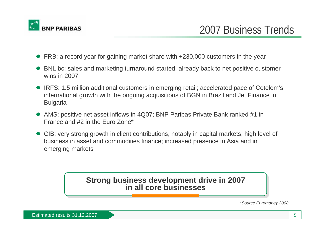

- O FRB: a record year for gaining market share with +230,000 customers in the year
- O BNL bc: sales and marketing turnaround started, already back to net positive customer wins in 2007
- IRFS: 1.5 million additional customers in emerging retail; accelerated pace of Cetelem's international growth with the ongoing acquisitions of BGN in Brazil and Jet Finance in Bulgaria
- O AMS: positive net asset inflows in 4Q07; BNP Paribas Private Bank ranked #1 in France and #2 in the Euro Zone\*
- O CIB: very strong growth in client contributions, notably in capital markets; high level of business in asset and commodities finance; increased presence in Asia and in emerging markets

#### **Strong business development drive in 2007 Strong business development drive in 2007 in all core businesses in all core businesses**

*\*Source Euromoney 2008*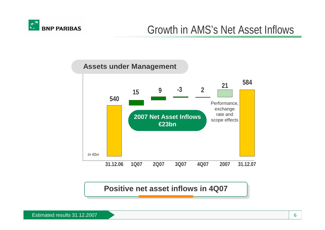

### **31.12.06 1Q07 2Q07 3Q07 4Q07 2007 31.12.07** *in €bn***Assets under Management 58454015 <sup>9</sup> -3 <sup>2</sup> <sup>21</sup>** Performance, exchange rate and **2007 Net Asset Inflows** scope effects **€23bn**

**Positive net asset inflows in 4Q07 Positive net asset inflows in 4Q07**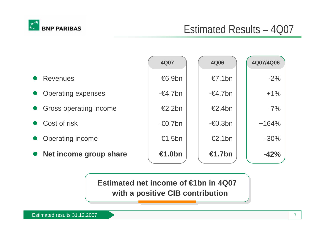

|                           | <b>4Q07</b>        | <b>4Q06</b>        | 4Q07/4Q06 |
|---------------------------|--------------------|--------------------|-----------|
| <b>Revenues</b>           | €6.9bn             | $\epsilon$ 7.1bn   | $-2%$     |
| <b>Operating expenses</b> | $-\epsilon$ 4.7bn  | $-64.7$ bn         | $+1\%$    |
| Gross operating income    | $\epsilon$ 2.2bn   | $\epsilon$ 2.4bn   | $-7%$     |
| • Cost of risk            | $-\epsilon$ 0.7bn  | $-\epsilon 0.3$ bn | $+164%$   |
| <b>Operating income</b>   | €1.5bn             | $\epsilon$ 2.1bn   | $-30\%$   |
| Net income group share    | <del>€</del> 1.0bn | €1.7 $bn$          | $-42%$    |

**Estimated net income of €1bn in 4Q07 Estimated net income of €1bn in 4Q07 with a positive CIB contribution with a positive CIB contribution**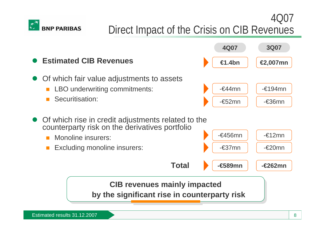

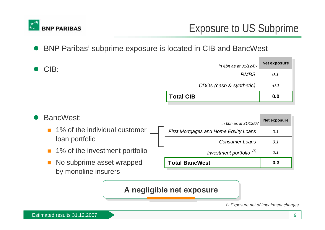

 $\bullet$ BNP Paribas' subprime exposure is located in CIB and BancWest

|                | <b>Total CIB</b>                   | 0.0          |  |
|----------------|------------------------------------|--------------|--|
|                | CDOs (cash & synthetic)            | $-0.1$       |  |
|                | <b>RMBS</b>                        | 0.1          |  |
| $\bullet$ CIB: | in $\varepsilon$ bn as at 31/12/07 | Net exposure |  |



#### A negligible net exposure

*(1) Exposure net of impairment charges*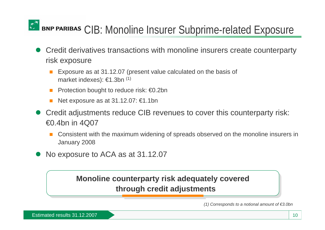# BNP PARIBAS CIB: Monoline Insurer Subprime-related Exposure

- $\bullet$  Credit derivatives transactions with monoline insurers create counterparty risk exposure
	- × Exposure as at 31.12.07 (present value calculated on the basis of market indexes): €1.3bn (1)
	- $\mathcal{L}^{\text{max}}$ Protection bought to reduce risk: €0.2bn
	- **College** Net exposure as at 31.12.07: €1.1bn
- $\bullet$  Credit adjustments reduce CIB revenues to cover this counterparty risk: €0.4bn in 4Q07
	- Consistent with the maximum widening of spreads observed on the monoline insurers in January 2008
- $\bullet$ No exposure to ACA as at 31.12.07

## **Monoline counterparty risk adequately covered Monoline counterparty risk adequately covered through credit adjustments through credit adjustments**

*(1) Corresponds to a notional amount of €3.0bn*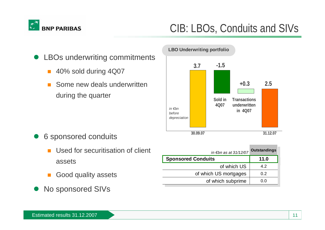

# CIB: LBOs, Conduits and SIVs



- 40% sold during 4Q07
- Some new deals underwritten during the quarter



- $\bullet$  6 sponsored conduits
	- П Used for securitisation of client assets
	- Good quality assets
- $\bullet$ No sponsored SIVs

| in €bn as at 31/12/07     | <b>Outstandings</b> |
|---------------------------|---------------------|
| <b>Sponsored Conduits</b> | 11.0                |
| of which US               | 4.2                 |
| of which US mortgages     | 0.2                 |
| of which subprime         | () ()               |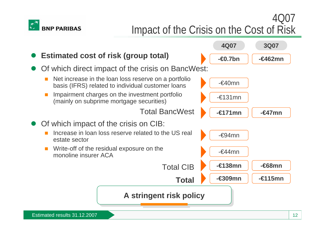

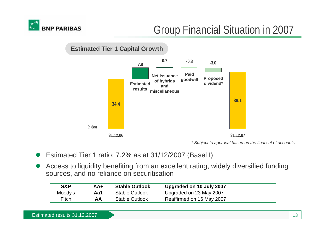

# Group Financial Situation in 2007



*\* Subject to approval based on the final set of accounts*

- O Estimated Tier 1 ratio: 7.2% as at 31/12/2007 (Basel I)
- O Access to liquidity benefiting from an excellent rating, widely diversified funding sources, and no reliance on securitisation

| S&P          | AA+ | <b>Stable Outlook</b> | Upgraded on 10 July 2007  |
|--------------|-----|-----------------------|---------------------------|
| Moody's      | Aa1 | <b>Stable Outlook</b> | Upgraded on 23 May 2007   |
| <b>Fitch</b> | AA  | <b>Stable Outlook</b> | Reaffirmed on 16 May 2007 |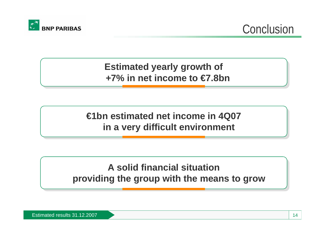

**Conclusion** 

## **Estimated yearly growth of Estimated yearly growth of +7% in net income to €7.8bn+7% in net income to €7.8bn**

# **€1bn estimated net income in 4Q07 €1bn estimated net income in 4Q07 in a very difficult environment in a very difficult environment**

# **A solid financial situationA solid financial situationproviding the group with the means to grow providing the group with the means to grow**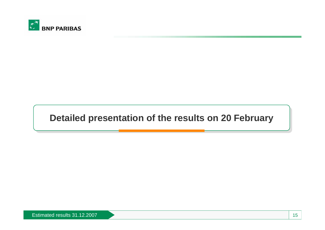

## **Detailed presentation of the results on 20 February**